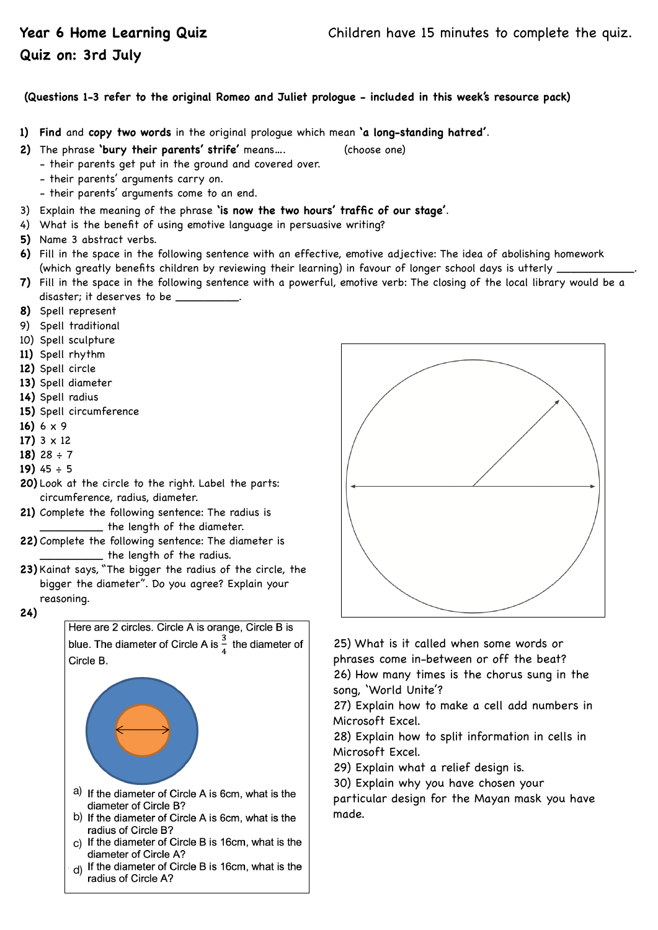## **Quiz on: 3rd July**

## **(Questions 1-3 refer to the original Romeo and Juliet prologue - included in this week's resource pack)**

- **1) Find** and **copy two words** in the original prologue which mean **'a long-standing hatred'**.
- **2)** The phrase **'bury their parents' strife'** means…. (choose one)
	- their parents get put in the ground and covered over.
	- their parents' arguments carry on.
	- their parents' arguments come to an end.
- 3) Explain the meaning of the phrase **'is now the two hours' traffic of our stage'**.
- 4) What is the benefit of using emotive language in persuasive writing?
- **5)** Name 3 abstract verbs.
- **6)** Fill in the space in the following sentence with an effective, emotive adjective: The idea of abolishing homework (which greatly benefits children by reviewing their learning) in favour of longer school days is utterly \_
- **7)** Fill in the space in the following sentence with a powerful, emotive verb: The closing of the local library would be a disaster; it deserves to be \_\_\_\_\_\_\_\_\_.
- **8)** Spell represent
- 9) Spell traditional
- 10) Spell sculpture
- **11)** Spell rhythm
- **12)** Spell circle
- **13)** Spell diameter
- **14)** Spell radius
- **15)** Spell circumference
- **16)** 6 x 9
- **17)** 3 x 12
- **18)** 28 ÷ 7
- **19)** 45 ÷ 5
- **20)** Look at the circle to the right. Label the parts: circumference, radius, diameter.
- **21)** Complete the following sentence: The radius is the length of the diameter.
- **22)** Complete the following sentence: The diameter is \_\_\_\_\_\_\_\_\_ the length of the radius.
- **23)** Kainat says, "The bigger the radius of the circle, the bigger the diameter". Do you agree? Explain your reasoning.
- **24)**

Here are 2 circles. Circle A is orange, Circle B is blue. The diameter of Circle A is  $\frac{3}{4}$  the diameter of Circle B.



- a) If the diameter of Circle A is 6cm, what is the diameter of Circle B?
- b) If the diameter of Circle A is 6cm, what is the radius of Circle B?
- c) If the diameter of Circle B is 16cm, what is the diameter of Circle A?
- d) If the diameter of Circle B is 16cm, what is the radius of Circle A?



25) What is it called when some words or phrases come in-between or off the beat? 26) How many times is the chorus sung in the song, 'World Unite'?

27) Explain how to make a cell add numbers in Microsoft Excel.

28) Explain how to split information in cells in Microsoft Excel.

29) Explain what a relief design is.

30) Explain why you have chosen your

particular design for the Mayan mask you have made.